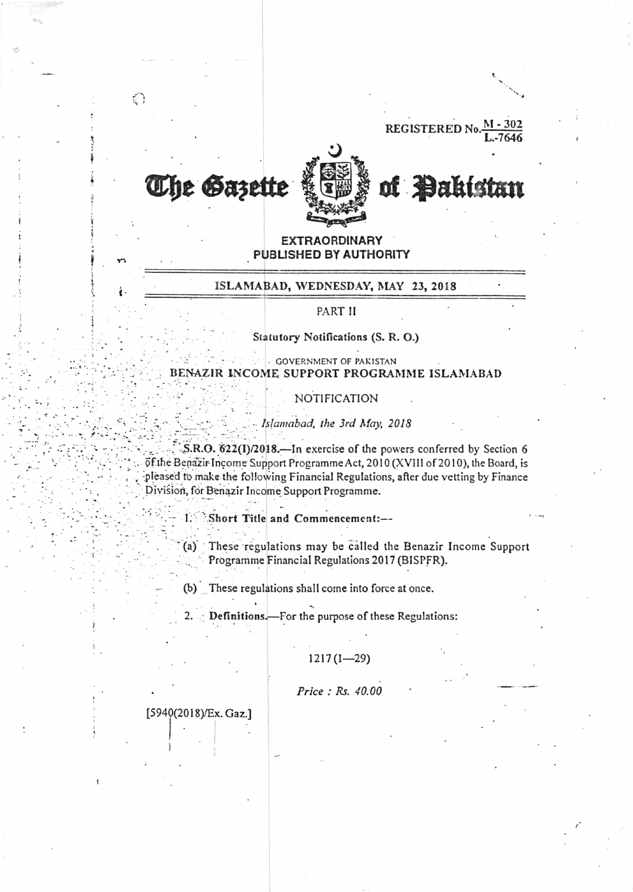**REGISTERED No** 



€)

# of Pakistan

## **EXTRAORDINARY** PUBLISHED BY AUTHORITY

#### ISLAMABAD, WEDNESDAY, MAY 23, 2018

#### PART II

#### Statutory Notifications (S. R. O.)

- GOVERNMENT OF PAKISTAN BENAZIR INCOME SUPPORT PROGRAMME ISLAMABAD

## NOTIFICATION

#### Islamabad, the 3rd May, 2018

S.R.O. 622(I)/2018. In exercise of the powers conferred by Section 6 öf the Benazir Income Support Programme Act, 2010 (XVIII of 2010), the Board, is pleased to make the following Financial Regulations, after due vetting by Finance Division, for Benazir Income Support Programme.

1. Short Title and Commencement:--

(a) These regulations may be called the Benazir Income Support Programme Financial Regulations 2017 (BISPFR).

(b) These regulations shall come into force at once.

Definitions.--- For the purpose of these Regulations:

## $1217(1-29)$

Price: Rs. 40.00

### [5940(2018)/Ex. Gaz.]